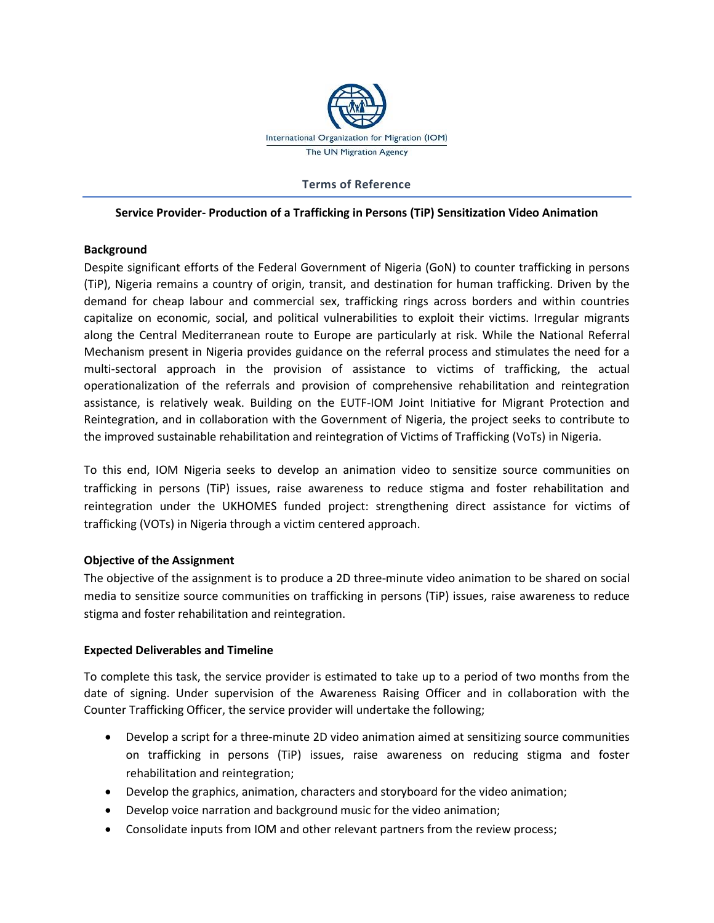

#### **Terms of Reference**

#### **Service Provider- Production of a Trafficking in Persons (TiP) Sensitization Video Animation**

#### **Background**

Despite significant efforts of the Federal Government of Nigeria (GoN) to counter trafficking in persons (TiP), Nigeria remains a country of origin, transit, and destination for human trafficking. Driven by the demand for cheap labour and commercial sex, trafficking rings across borders and within countries capitalize on economic, social, and political vulnerabilities to exploit their victims. Irregular migrants along the Central Mediterranean route to Europe are particularly at risk. While the National Referral Mechanism present in Nigeria provides guidance on the referral process and stimulates the need for a multi-sectoral approach in the provision of assistance to victims of trafficking, the actual operationalization of the referrals and provision of comprehensive rehabilitation and reintegration assistance, is relatively weak. Building on the EUTF-IOM Joint Initiative for Migrant Protection and Reintegration, and in collaboration with the Government of Nigeria, the project seeks to contribute to the improved sustainable rehabilitation and reintegration of Victims of Trafficking (VoTs) in Nigeria.

To this end, IOM Nigeria seeks to develop an animation video to sensitize source communities on trafficking in persons (TiP) issues, raise awareness to reduce stigma and foster rehabilitation and reintegration under the UKHOMES funded project: strengthening direct assistance for victims of trafficking (VOTs) in Nigeria through a victim centered approach.

## **Objective of the Assignment**

The objective of the assignment is to produce a 2D three-minute video animation to be shared on social media to sensitize source communities on trafficking in persons (TiP) issues, raise awareness to reduce stigma and foster rehabilitation and reintegration.

## **Expected Deliverables and Timeline**

To complete this task, the service provider is estimated to take up to a period of two months from the date of signing. Under supervision of the Awareness Raising Officer and in collaboration with the Counter Trafficking Officer, the service provider will undertake the following;

- Develop a script for a three-minute 2D video animation aimed at sensitizing source communities on trafficking in persons (TiP) issues, raise awareness on reducing stigma and foster rehabilitation and reintegration;
- Develop the graphics, animation, characters and storyboard for the video animation;
- Develop voice narration and background music for the video animation;
- Consolidate inputs from IOM and other relevant partners from the review process;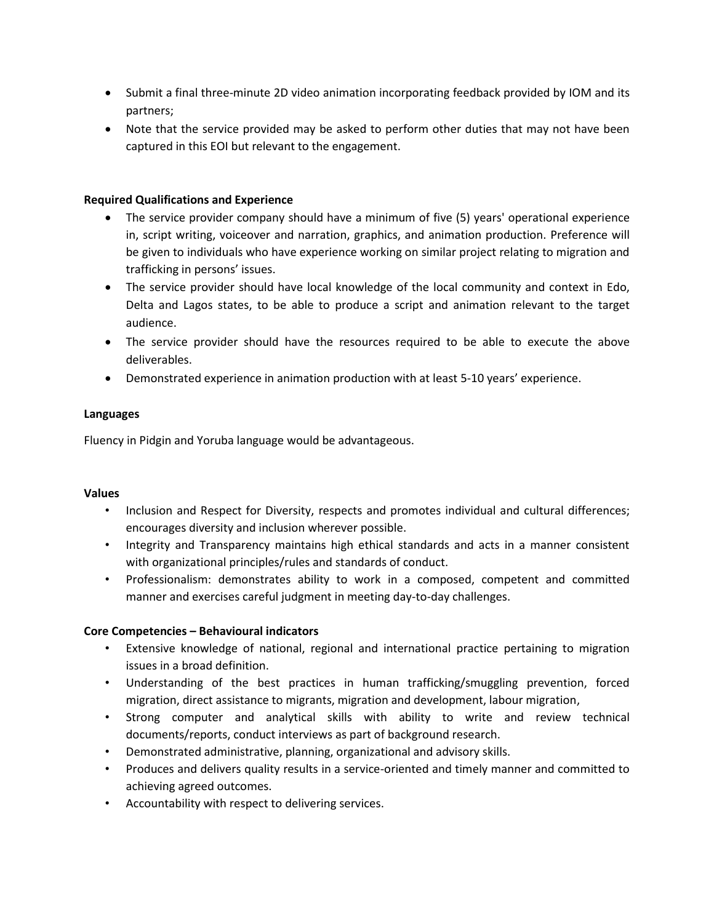- Submit a final three-minute 2D video animation incorporating feedback provided by IOM and its partners;
- Note that the service provided may be asked to perform other duties that may not have been captured in this EOI but relevant to the engagement.

# **Required Qualifications and Experience**

- The service provider company should have a minimum of five (5) years' operational experience in, script writing, voiceover and narration, graphics, and animation production. Preference will be given to individuals who have experience working on similar project relating to migration and trafficking in persons' issues.
- The service provider should have local knowledge of the local community and context in Edo, Delta and Lagos states, to be able to produce a script and animation relevant to the target audience.
- The service provider should have the resources required to be able to execute the above deliverables.
- Demonstrated experience in animation production with at least 5-10 years' experience.

## **Languages**

Fluency in Pidgin and Yoruba language would be advantageous.

## **Values**

- Inclusion and Respect for Diversity, respects and promotes individual and cultural differences; encourages diversity and inclusion wherever possible.
- Integrity and Transparency maintains high ethical standards and acts in a manner consistent with organizational principles/rules and standards of conduct.
- Professionalism: demonstrates ability to work in a composed, competent and committed manner and exercises careful judgment in meeting day-to-day challenges.

# **Core Competencies – Behavioural indicators**

- Extensive knowledge of national, regional and international practice pertaining to migration issues in a broad definition.
- Understanding of the best practices in human trafficking/smuggling prevention, forced migration, direct assistance to migrants, migration and development, labour migration,
- Strong computer and analytical skills with ability to write and review technical documents/reports, conduct interviews as part of background research.
- Demonstrated administrative, planning, organizational and advisory skills.
- Produces and delivers quality results in a service-oriented and timely manner and committed to achieving agreed outcomes.
- Accountability with respect to delivering services.